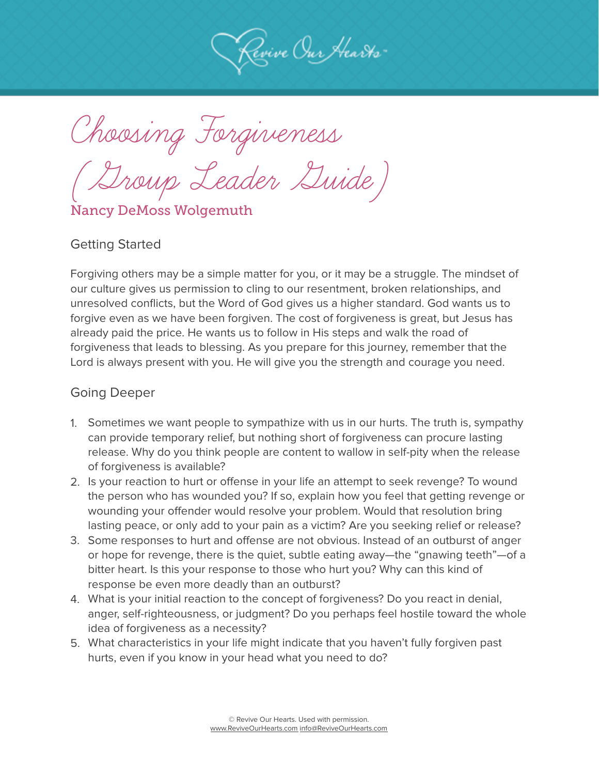

Choosing Forgiveness

(Group Leader Guide)

Nancy DeMoss Wolgemuth

#### Getting Started

Forgiving others may be a simple matter for you, or it may be a struggle. The mindset of our culture gives us permission to cling to our resentment, broken relationships, and unresolved conflicts, but the Word of God gives us a higher standard. God wants us to forgive even as we have been forgiven. The cost of forgiveness is great, but Jesus has already paid the price. He wants us to follow in His steps and walk the road of forgiveness that leads to blessing. As you prepare for this journey, remember that the Lord is always present with you. He will give you the strength and courage you need.

- 1. Sometimes we want people to sympathize with us in our hurts. The truth is, sympathy can provide temporary relief, but nothing short of forgiveness can procure lasting release. Why do you think people are content to wallow in self-pity when the release of forgiveness is available?
- 2. Is your reaction to hurt or offense in your life an attempt to seek revenge? To wound the person who has wounded you? If so, explain how you feel that getting revenge or wounding your offender would resolve your problem. Would that resolution bring lasting peace, or only add to your pain as a victim? Are you seeking relief or release?
- 3. Some responses to hurt and offense are not obvious. Instead of an outburst of anger or hope for revenge, there is the quiet, subtle eating away—the "gnawing teeth"—of a bitter heart. Is this your response to those who hurt you? Why can this kind of response be even more deadly than an outburst?
- 4. What is your initial reaction to the concept of forgiveness? Do you react in denial, anger, self-righteousness, or judgment? Do you perhaps feel hostile toward the whole idea of forgiveness as a necessity?
- 5. What characteristics in your life might indicate that you haven't fully forgiven past hurts, even if you know in your head what you need to do?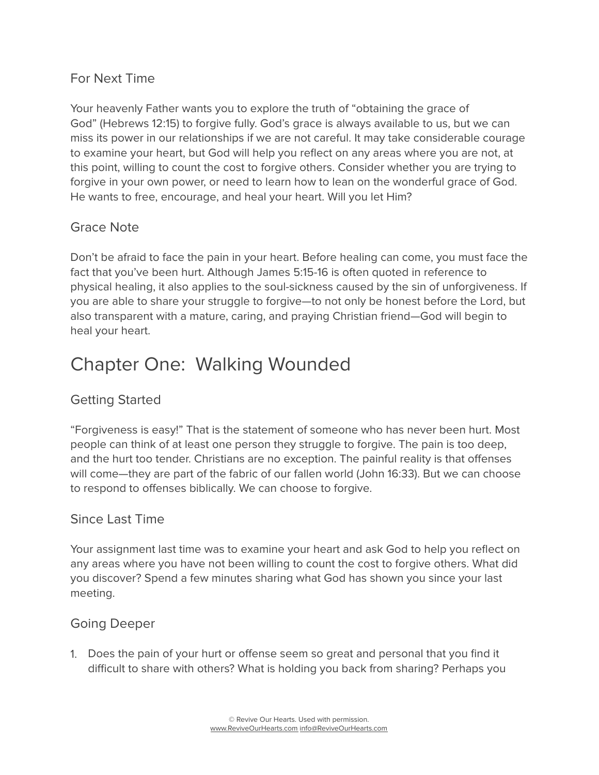#### For Next Time

Your heavenly Father wants you to explore the truth of "obtaining the grace of God" (Hebrews 12:15) to forgive fully. God's grace is always available to us, but we can miss its power in our relationships if we are not careful. It may take considerable courage to examine your heart, but God will help you reflect on any areas where you are not, at this point, willing to count the cost to forgive others. Consider whether you are trying to forgive in your own power, or need to learn how to lean on the wonderful grace of God. He wants to free, encourage, and heal your heart. Will you let Him?

#### Grace Note

Don't be afraid to face the pain in your heart. Before healing can come, you must face the fact that you've been hurt. Although James 5:15-16 is often quoted in reference to physical healing, it also applies to the soul-sickness caused by the sin of unforgiveness. If you are able to share your struggle to forgive—to not only be honest before the Lord, but also transparent with a mature, caring, and praying Christian friend—God will begin to heal your heart.

## Chapter One: Walking Wounded

#### Getting Started

"Forgiveness is easy!" That is the statement of someone who has never been hurt. Most people can think of at least one person they struggle to forgive. The pain is too deep, and the hurt too tender. Christians are no exception. The painful reality is that offenses will come—they are part of the fabric of our fallen world (John 16:33). But we can choose to respond to offenses biblically. We can choose to forgive.

#### Since Last Time

Your assignment last time was to examine your heart and ask God to help you reflect on any areas where you have not been willing to count the cost to forgive others. What did you discover? Spend a few minutes sharing what God has shown you since your last meeting.

#### Going Deeper

1. Does the pain of your hurt or offense seem so great and personal that you find it difficult to share with others? What is holding you back from sharing? Perhaps you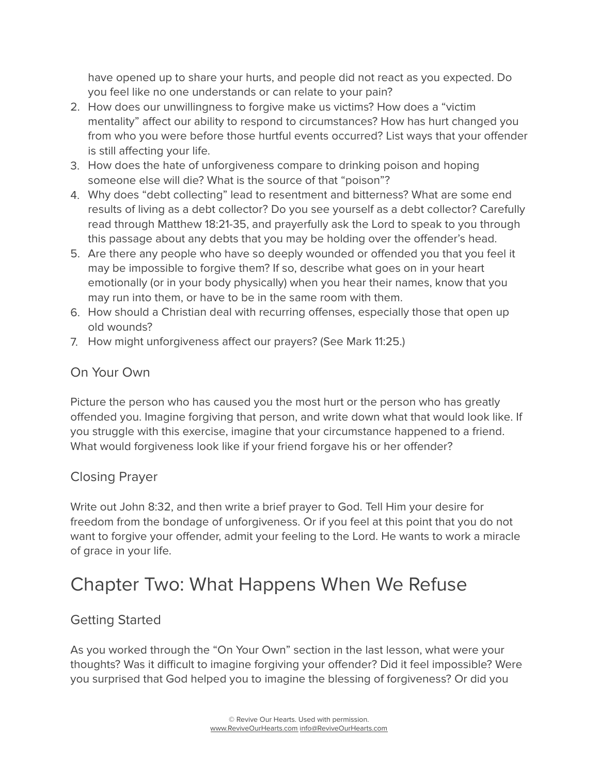have opened up to share your hurts, and people did not react as you expected. Do you feel like no one understands or can relate to your pain?

- 2. How does our unwillingness to forgive make us victims? How does a "victim mentality" affect our ability to respond to circumstances? How has hurt changed you from who you were before those hurtful events occurred? List ways that your offender is still affecting your life.
- 3. How does the hate of unforgiveness compare to drinking poison and hoping someone else will die? What is the source of that "poison"?
- 4. Why does "debt collecting" lead to resentment and bitterness? What are some end results of living as a debt collector? Do you see yourself as a debt collector? Carefully read through Matthew 18:21-35, and prayerfully ask the Lord to speak to you through this passage about any debts that you may be holding over the offender's head.
- 5. Are there any people who have so deeply wounded or offended you that you feel it may be impossible to forgive them? If so, describe what goes on in your heart emotionally (or in your body physically) when you hear their names, know that you may run into them, or have to be in the same room with them.
- 6. How should a Christian deal with recurring offenses, especially those that open up old wounds?
- 7. How might unforgiveness affect our prayers? (See Mark 11:25.)

#### On Your Own

Picture the person who has caused you the most hurt or the person who has greatly offended you. Imagine forgiving that person, and write down what that would look like. If you struggle with this exercise, imagine that your circumstance happened to a friend. What would forgiveness look like if your friend forgave his or her offender?

#### Closing Prayer

Write out John 8:32, and then write a brief prayer to God. Tell Him your desire for freedom from the bondage of unforgiveness. Or if you feel at this point that you do not want to forgive your offender, admit your feeling to the Lord. He wants to work a miracle of grace in your life.

# Chapter Two: What Happens When We Refuse

## Getting Started

As you worked through the "On Your Own" section in the last lesson, what were your thoughts? Was it difficult to imagine forgiving your offender? Did it feel impossible? Were you surprised that God helped you to imagine the blessing of forgiveness? Or did you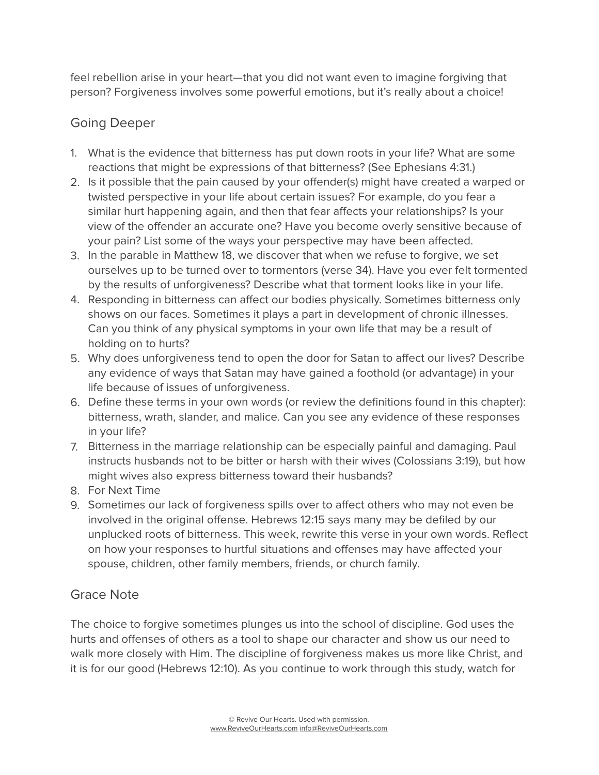feel rebellion arise in your heart—that you did not want even to imagine forgiving that person? Forgiveness involves some powerful emotions, but it's really about a choice!

### Going Deeper

- 1. What is the evidence that bitterness has put down roots in your life? What are some reactions that might be expressions of that bitterness? (See Ephesians 4:31.)
- 2. Is it possible that the pain caused by your offender(s) might have created a warped or twisted perspective in your life about certain issues? For example, do you fear a similar hurt happening again, and then that fear affects your relationships? Is your view of the offender an accurate one? Have you become overly sensitive because of your pain? List some of the ways your perspective may have been affected.
- 3. In the parable in Matthew 18, we discover that when we refuse to forgive, we set ourselves up to be turned over to tormentors (verse 34). Have you ever felt tormented by the results of unforgiveness? Describe what that torment looks like in your life.
- 4. Responding in bitterness can affect our bodies physically. Sometimes bitterness only shows on our faces. Sometimes it plays a part in development of chronic illnesses. Can you think of any physical symptoms in your own life that may be a result of holding on to hurts?
- 5. Why does unforgiveness tend to open the door for Satan to affect our lives? Describe any evidence of ways that Satan may have gained a foothold (or advantage) in your life because of issues of unforgiveness.
- 6. Define these terms in your own words (or review the definitions found in this chapter): bitterness, wrath, slander, and malice. Can you see any evidence of these responses in your life?
- 7. Bitterness in the marriage relationship can be especially painful and damaging. Paul instructs husbands not to be bitter or harsh with their wives (Colossians 3:19), but how might wives also express bitterness toward their husbands?
- 8. For Next Time
- 9. Sometimes our lack of forgiveness spills over to affect others who may not even be involved in the original offense. Hebrews 12:15 says many may be defiled by our unplucked roots of bitterness. This week, rewrite this verse in your own words. Reflect on how your responses to hurtful situations and offenses may have affected your spouse, children, other family members, friends, or church family.

#### Grace Note

The choice to forgive sometimes plunges us into the school of discipline. God uses the hurts and offenses of others as a tool to shape our character and show us our need to walk more closely with Him. The discipline of forgiveness makes us more like Christ, and it is for our good (Hebrews 12:10). As you continue to work through this study, watch for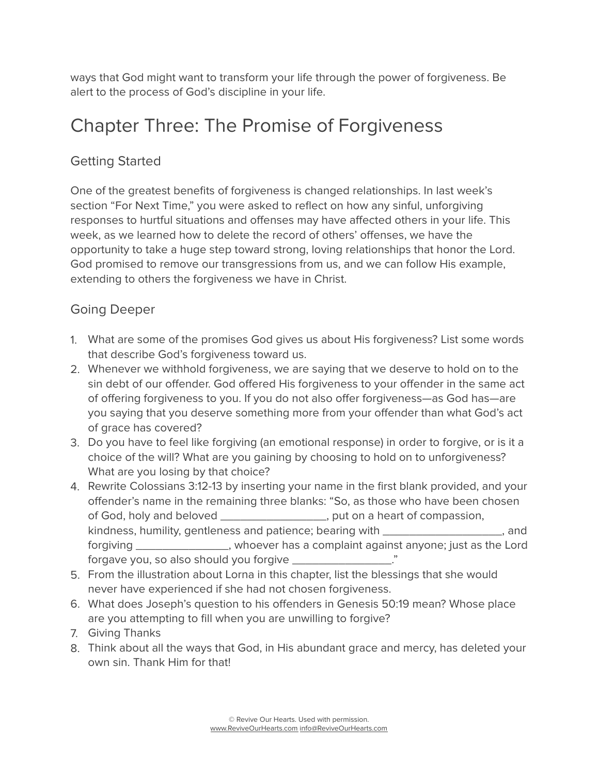ways that God might want to transform your life through the power of forgiveness. Be alert to the process of God's discipline in your life.

## Chapter Three: The Promise of Forgiveness

## Getting Started

One of the greatest benefits of forgiveness is changed relationships. In last week's section "For Next Time," you were asked to reflect on how any sinful, unforgiving responses to hurtful situations and offenses may have affected others in your life. This week, as we learned how to delete the record of others' offenses, we have the opportunity to take a huge step toward strong, loving relationships that honor the Lord. God promised to remove our transgressions from us, and we can follow His example, extending to others the forgiveness we have in Christ.

- 1. What are some of the promises God gives us about His forgiveness? List some words that describe God's forgiveness toward us.
- 2. Whenever we withhold forgiveness, we are saying that we deserve to hold on to the sin debt of our offender. God offered His forgiveness to your offender in the same act of offering forgiveness to you. If you do not also offer forgiveness—as God has—are you saying that you deserve something more from your offender than what God's act of grace has covered?
- 3. Do you have to feel like forgiving (an emotional response) in order to forgive, or is it a choice of the will? What are you gaining by choosing to hold on to unforgiveness? What are you losing by that choice?
- 4. Rewrite Colossians 3:12-13 by inserting your name in the first blank provided, and your offender's name in the remaining three blanks: "So, as those who have been chosen of God, holy and beloved \_\_\_\_\_\_\_\_\_\_\_\_\_\_\_\_, put on a heart of compassion, kindness, humility, gentleness and patience; bearing with \_\_\_\_\_\_\_\_\_\_\_\_\_\_\_\_\_\_\_\_\_, and forgiving \_\_\_\_\_\_\_\_\_\_\_\_\_\_, whoever has a complaint against anyone; just as the Lord forgave you, so also should you forgive \_\_\_\_\_\_\_\_\_\_\_\_\_\_\_."
- 5. From the illustration about Lorna in this chapter, list the blessings that she would never have experienced if she had not chosen forgiveness.
- 6. What does Joseph's question to his offenders in Genesis 50:19 mean? Whose place are you attempting to fill when you are unwilling to forgive?
- 7. Giving Thanks
- 8. Think about all the ways that God, in His abundant grace and mercy, has deleted your own sin. Thank Him for that!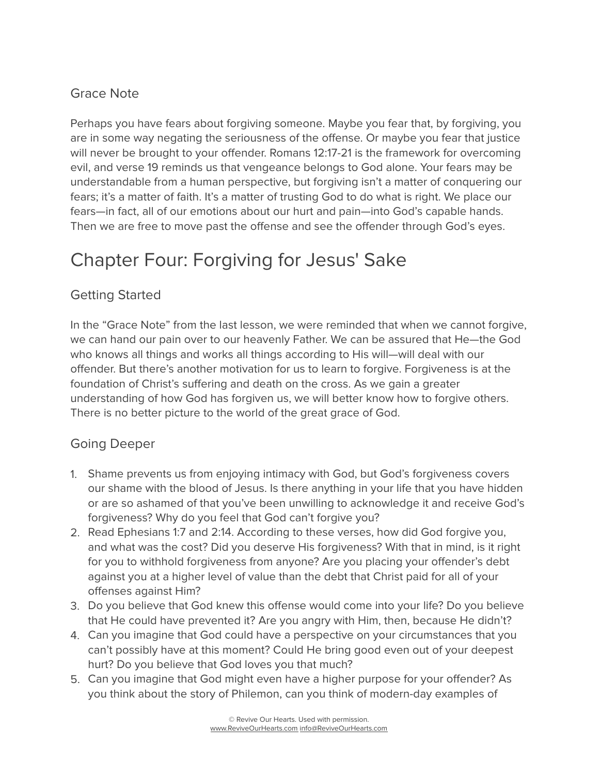## Grace Note

Perhaps you have fears about forgiving someone. Maybe you fear that, by forgiving, you are in some way negating the seriousness of the offense. Or maybe you fear that justice will never be brought to your offender. Romans 12:17-21 is the framework for overcoming evil, and verse 19 reminds us that vengeance belongs to God alone. Your fears may be understandable from a human perspective, but forgiving isn't a matter of conquering our fears; it's a matter of faith. It's a matter of trusting God to do what is right. We place our fears—in fact, all of our emotions about our hurt and pain—into God's capable hands. Then we are free to move past the offense and see the offender through God's eyes.

# Chapter Four: Forgiving for Jesus' Sake

## Getting Started

In the "Grace Note" from the last lesson, we were reminded that when we cannot forgive, we can hand our pain over to our heavenly Father. We can be assured that He—the God who knows all things and works all things according to His will—will deal with our offender. But there's another motivation for us to learn to forgive. Forgiveness is at the foundation of Christ's suffering and death on the cross. As we gain a greater understanding of how God has forgiven us, we will better know how to forgive others. There is no better picture to the world of the great grace of God.

- 1. Shame prevents us from enjoying intimacy with God, but God's forgiveness covers our shame with the blood of Jesus. Is there anything in your life that you have hidden or are so ashamed of that you've been unwilling to acknowledge it and receive God's forgiveness? Why do you feel that God can't forgive you?
- 2. Read Ephesians 1:7 and 2:14. According to these verses, how did God forgive you, and what was the cost? Did you deserve His forgiveness? With that in mind, is it right for you to withhold forgiveness from anyone? Are you placing your offender's debt against you at a higher level of value than the debt that Christ paid for all of your offenses against Him?
- 3. Do you believe that God knew this offense would come into your life? Do you believe that He could have prevented it? Are you angry with Him, then, because He didn't?
- 4. Can you imagine that God could have a perspective on your circumstances that you can't possibly have at this moment? Could He bring good even out of your deepest hurt? Do you believe that God loves you that much?
- 5. Can you imagine that God might even have a higher purpose for your offender? As you think about the story of Philemon, can you think of modern-day examples of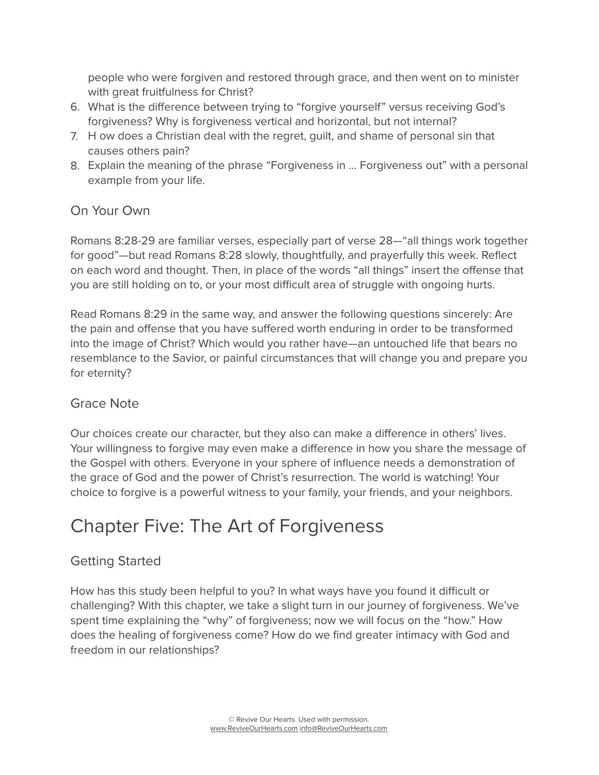people who were forgiven and restored through grace, and then went on to minister with great fruitfulness for Christ?

- 6. What is the difference between trying to "forgive yourself" versus receiving God's forgiveness? Why is forgiveness vertical and horizontal, but not internal?
- 7. H ow does a Christian deal with the regret, guilt, and shame of personal sin that causes others pain?
- 8. Explain the meaning of the phrase "Forgiveness in … Forgiveness out" with a personal example from your life.

#### On Your Own

Romans 8:28-29 are familiar verses, especially part of verse 28—"all things work together for good"—but read Romans 8:28 slowly, thoughtfully, and prayerfully this week. Reflect on each word and thought. Then, in place of the words "all things" insert the offense that you are still holding on to, or your most difficult area of struggle with ongoing hurts.

Read Romans 8:29 in the same way, and answer the following questions sincerely: Are the pain and offense that you have suffered worth enduring in order to be transformed into the image of Christ? Which would you rather have—an untouched life that bears no resemblance to the Savior, or painful circumstances that will change you and prepare you for eternity?

#### Grace Note

Our choices create our character, but they also can make a difference in others' lives. Your willingness to forgive may even make a difference in how you share the message of the Gospel with others. Everyone in your sphere of influence needs a demonstration of the grace of God and the power of Christ's resurrection. The world is watching! Your choice to forgive is a powerful witness to your family, your friends, and your neighbors.

# Chapter Five: The Art of Forgiveness

## Getting Started

How has this study been helpful to you? In what ways have you found it difficult or challenging? With this chapter, we take a slight turn in our journey of forgiveness. We've spent time explaining the "why" of forgiveness; now we will focus on the "how." How does the healing of forgiveness come? How do we find greater intimacy with God and freedom in our relationships?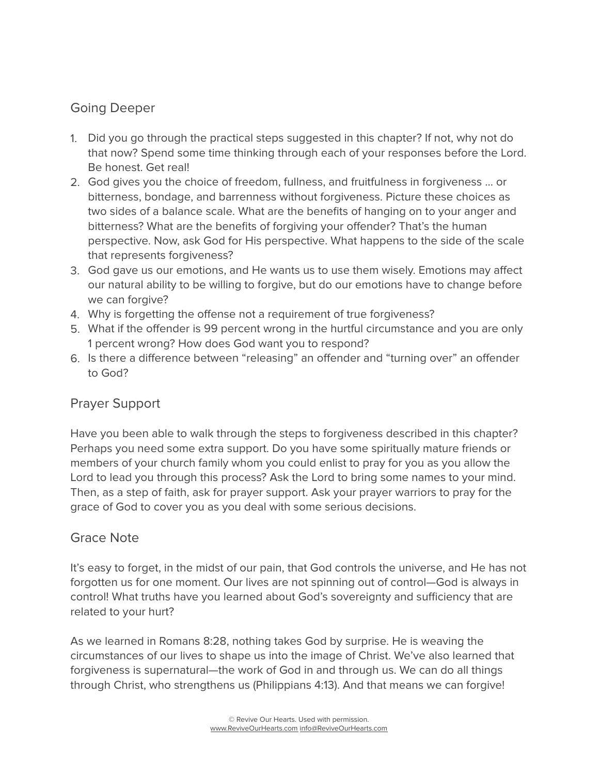#### Going Deeper

- 1. Did you go through the practical steps suggested in this chapter? If not, why not do that now? Spend some time thinking through each of your responses before the Lord. Be honest. Get real!
- 2. God gives you the choice of freedom, fullness, and fruitfulness in forgiveness … or bitterness, bondage, and barrenness without forgiveness. Picture these choices as two sides of a balance scale. What are the benefits of hanging on to your anger and bitterness? What are the benefits of forgiving your offender? That's the human perspective. Now, ask God for His perspective. What happens to the side of the scale that represents forgiveness?
- 3. God gave us our emotions, and He wants us to use them wisely. Emotions may affect our natural ability to be willing to forgive, but do our emotions have to change before we can forgive?
- 4. Why is forgetting the offense not a requirement of true forgiveness?
- 5. What if the offender is 99 percent wrong in the hurtful circumstance and you are only 1 percent wrong? How does God want you to respond?
- 6. Is there a difference between "releasing" an offender and "turning over" an offender to God?

#### Prayer Support

Have you been able to walk through the steps to forgiveness described in this chapter? Perhaps you need some extra support. Do you have some spiritually mature friends or members of your church family whom you could enlist to pray for you as you allow the Lord to lead you through this process? Ask the Lord to bring some names to your mind. Then, as a step of faith, ask for prayer support. Ask your prayer warriors to pray for the grace of God to cover you as you deal with some serious decisions.

#### Grace Note

It's easy to forget, in the midst of our pain, that God controls the universe, and He has not forgotten us for one moment. Our lives are not spinning out of control—God is always in control! What truths have you learned about God's sovereignty and sufficiency that are related to your hurt?

As we learned in Romans 8:28, nothing takes God by surprise. He is weaving the circumstances of our lives to shape us into the image of Christ. We've also learned that forgiveness is supernatural—the work of God in and through us. We can do all things through Christ, who strengthens us (Philippians 4:13). And that means we can forgive!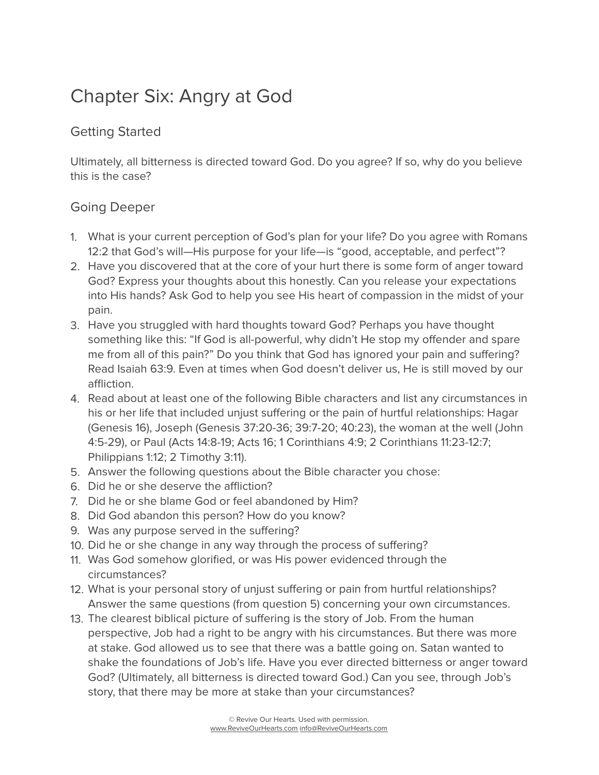# Chapter Six: Angry at God

#### Getting Started

Ultimately, all bitterness is directed toward God. Do you agree? If so, why do you believe this is the case?

- 1. What is your current perception of God's plan for your life? Do you agree with Romans 12:2 that God's will—His purpose for your life—is "good, acceptable, and perfect"?
- 2. Have you discovered that at the core of your hurt there is some form of anger toward God? Express your thoughts about this honestly. Can you release your expectations into His hands? Ask God to help you see His heart of compassion in the midst of your pain.
- 3. Have you struggled with hard thoughts toward God? Perhaps you have thought something like this: "If God is all-powerful, why didn't He stop my offender and spare me from all of this pain?" Do you think that God has ignored your pain and suffering? Read Isaiah 63:9. Even at times when God doesn't deliver us, He is still moved by our affliction.
- 4. Read about at least one of the following Bible characters and list any circumstances in his or her life that included unjust suffering or the pain of hurtful relationships: Hagar (Genesis 16), Joseph (Genesis 37:20-36; 39:7-20; 40:23), the woman at the well (John 4:5-29), or Paul (Acts 14:8-19; Acts 16; 1 Corinthians 4:9; 2 Corinthians 11:23-12:7; Philippians 1:12; 2 Timothy 3:11).
- 5. Answer the following questions about the Bible character you chose:
- 6. Did he or she deserve the affliction?
- 7. Did he or she blame God or feel abandoned by Him?
- 8. Did God abandon this person? How do you know?
- 9. Was any purpose served in the suffering?
- 10. Did he or she change in any way through the process of suffering?
- 11. Was God somehow glorified, or was His power evidenced through the circumstances?
- 12. What is your personal story of unjust suffering or pain from hurtful relationships? Answer the same questions (from question 5) concerning your own circumstances.
- 13. The clearest biblical picture of suffering is the story of Job. From the human perspective, Job had a right to be angry with his circumstances. But there was more at stake. God allowed us to see that there was a battle going on. Satan wanted to shake the foundations of Job's life. Have you ever directed bitterness or anger toward God? (Ultimately, all bitterness is directed toward God.) Can you see, through Job's story, that there may be more at stake than your circumstances?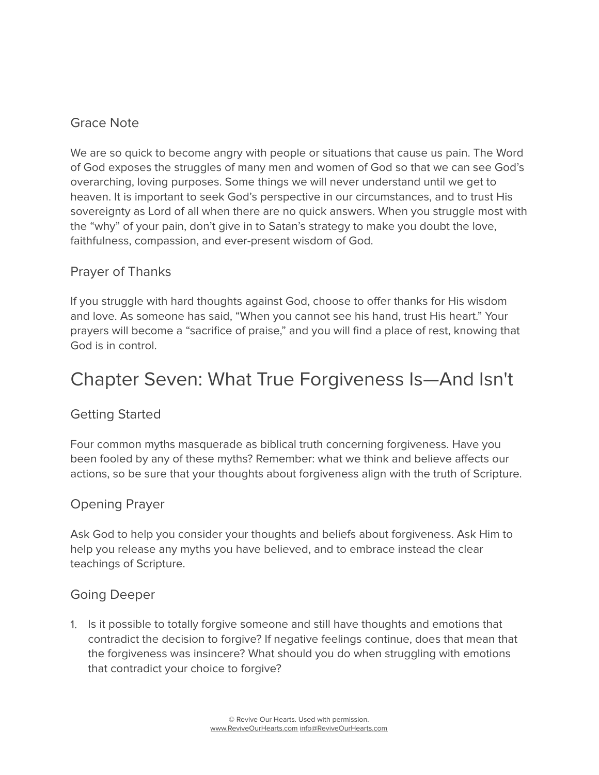#### Grace Note

We are so quick to become angry with people or situations that cause us pain. The Word of God exposes the struggles of many men and women of God so that we can see God's overarching, loving purposes. Some things we will never understand until we get to heaven. It is important to seek God's perspective in our circumstances, and to trust His sovereignty as Lord of all when there are no quick answers. When you struggle most with the "why" of your pain, don't give in to Satan's strategy to make you doubt the love, faithfulness, compassion, and ever-present wisdom of God.

#### Prayer of Thanks

If you struggle with hard thoughts against God, choose to offer thanks for His wisdom and love. As someone has said, "When you cannot see his hand, trust His heart." Your prayers will become a "sacrifice of praise," and you will find a place of rest, knowing that God is in control.

## Chapter Seven: What True Forgiveness Is—And Isn't

#### Getting Started

Four common myths masquerade as biblical truth concerning forgiveness. Have you been fooled by any of these myths? Remember: what we think and believe affects our actions, so be sure that your thoughts about forgiveness align with the truth of Scripture.

#### Opening Prayer

Ask God to help you consider your thoughts and beliefs about forgiveness. Ask Him to help you release any myths you have believed, and to embrace instead the clear teachings of Scripture.

#### Going Deeper

1. Is it possible to totally forgive someone and still have thoughts and emotions that contradict the decision to forgive? If negative feelings continue, does that mean that the forgiveness was insincere? What should you do when struggling with emotions that contradict your choice to forgive?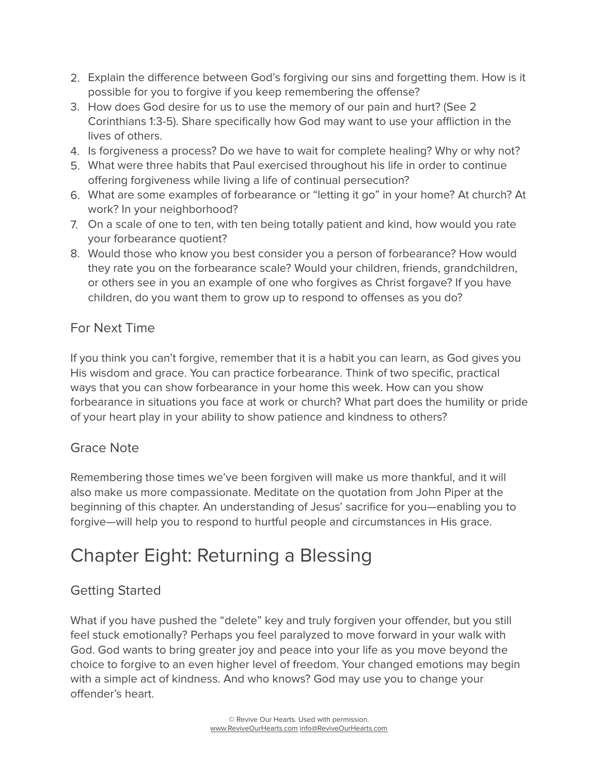- 2. Explain the difference between God's forgiving our sins and forgetting them. How is it possible for you to forgive if you keep remembering the offense?
- 3. How does God desire for us to use the memory of our pain and hurt? (See 2 Corinthians 1:3-5). Share specifically how God may want to use your affliction in the lives of others.
- 4. Is forgiveness a process? Do we have to wait for complete healing? Why or why not?
- 5. What were three habits that Paul exercised throughout his life in order to continue offering forgiveness while living a life of continual persecution?
- 6. What are some examples of forbearance or "letting it go" in your home? At church? At work? In your neighborhood?
- 7. On a scale of one to ten, with ten being totally patient and kind, how would you rate your forbearance quotient?
- 8. Would those who know you best consider you a person of forbearance? How would they rate you on the forbearance scale? Would your children, friends, grandchildren, or others see in you an example of one who forgives as Christ forgave? If you have children, do you want them to grow up to respond to offenses as you do?

#### For Next Time

If you think you can't forgive, remember that it is a habit you can learn, as God gives you His wisdom and grace. You can practice forbearance. Think of two specific, practical ways that you can show forbearance in your home this week. How can you show forbearance in situations you face at work or church? What part does the humility or pride of your heart play in your ability to show patience and kindness to others?

#### Grace Note

Remembering those times we've been forgiven will make us more thankful, and it will also make us more compassionate. Meditate on the quotation from John Piper at the beginning of this chapter. An understanding of Jesus' sacrifice for you—enabling you to forgive—will help you to respond to hurtful people and circumstances in His grace.

# Chapter Eight: Returning a Blessing

### Getting Started

What if you have pushed the "delete" key and truly forgiven your offender, but you still feel stuck emotionally? Perhaps you feel paralyzed to move forward in your walk with God. God wants to bring greater joy and peace into your life as you move beyond the choice to forgive to an even higher level of freedom. Your changed emotions may begin with a simple act of kindness. And who knows? God may use you to change your offender's heart.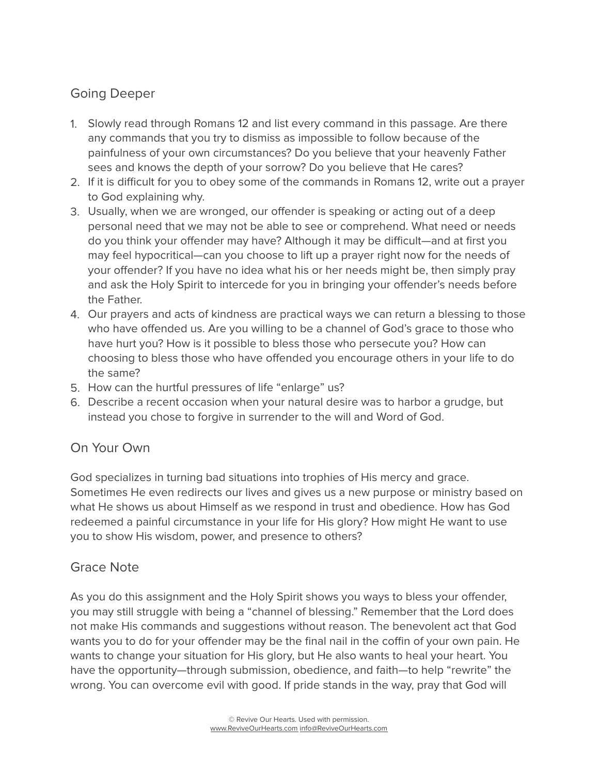## Going Deeper

- 1. Slowly read through Romans 12 and list every command in this passage. Are there any commands that you try to dismiss as impossible to follow because of the painfulness of your own circumstances? Do you believe that your heavenly Father sees and knows the depth of your sorrow? Do you believe that He cares?
- 2. If it is difficult for you to obey some of the commands in Romans 12, write out a prayer to God explaining why.
- 3. Usually, when we are wronged, our offender is speaking or acting out of a deep personal need that we may not be able to see or comprehend. What need or needs do you think your offender may have? Although it may be difficult—and at first you may feel hypocritical—can you choose to lift up a prayer right now for the needs of your offender? If you have no idea what his or her needs might be, then simply pray and ask the Holy Spirit to intercede for you in bringing your offender's needs before the Father.
- 4. Our prayers and acts of kindness are practical ways we can return a blessing to those who have offended us. Are you willing to be a channel of God's grace to those who have hurt you? How is it possible to bless those who persecute you? How can choosing to bless those who have offended you encourage others in your life to do the same?
- 5. How can the hurtful pressures of life "enlarge" us?
- 6. Describe a recent occasion when your natural desire was to harbor a grudge, but instead you chose to forgive in surrender to the will and Word of God.

### On Your Own

God specializes in turning bad situations into trophies of His mercy and grace. Sometimes He even redirects our lives and gives us a new purpose or ministry based on what He shows us about Himself as we respond in trust and obedience. How has God redeemed a painful circumstance in your life for His glory? How might He want to use you to show His wisdom, power, and presence to others?

#### Grace Note

As you do this assignment and the Holy Spirit shows you ways to bless your offender, you may still struggle with being a "channel of blessing." Remember that the Lord does not make His commands and suggestions without reason. The benevolent act that God wants you to do for your offender may be the final nail in the coffin of your own pain. He wants to change your situation for His glory, but He also wants to heal your heart. You have the opportunity—through submission, obedience, and faith—to help "rewrite" the wrong. You can overcome evil with good. If pride stands in the way, pray that God will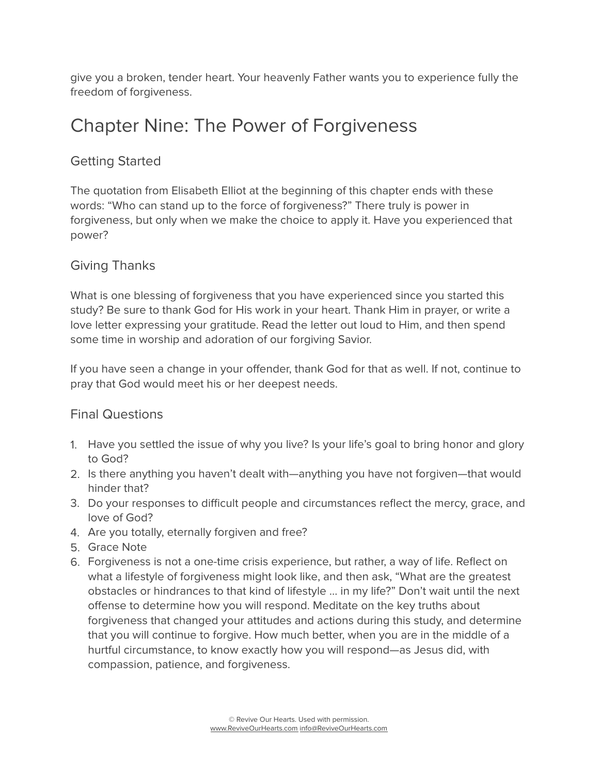give you a broken, tender heart. Your heavenly Father wants you to experience fully the freedom of forgiveness.

## Chapter Nine: The Power of Forgiveness

### Getting Started

The quotation from Elisabeth Elliot at the beginning of this chapter ends with these words: "Who can stand up to the force of forgiveness?" There truly is power in forgiveness, but only when we make the choice to apply it. Have you experienced that power?

#### Giving Thanks

What is one blessing of forgiveness that you have experienced since you started this study? Be sure to thank God for His work in your heart. Thank Him in prayer, or write a love letter expressing your gratitude. Read the letter out loud to Him, and then spend some time in worship and adoration of our forgiving Savior.

If you have seen a change in your offender, thank God for that as well. If not, continue to pray that God would meet his or her deepest needs.

#### Final Questions

- 1. Have you settled the issue of why you live? Is your life's goal to bring honor and glory to God?
- 2. Is there anything you haven't dealt with—anything you have not forgiven—that would hinder that?
- 3. Do your responses to difficult people and circumstances reflect the mercy, grace, and love of God?
- 4. Are you totally, eternally forgiven and free?
- 5. Grace Note
- 6. Forgiveness is not a one-time crisis experience, but rather, a way of life. Reflect on what a lifestyle of forgiveness might look like, and then ask, "What are the greatest obstacles or hindrances to that kind of lifestyle … in my life?" Don't wait until the next offense to determine how you will respond. Meditate on the key truths about forgiveness that changed your attitudes and actions during this study, and determine that you will continue to forgive. How much better, when you are in the middle of a hurtful circumstance, to know exactly how you will respond—as Jesus did, with compassion, patience, and forgiveness.